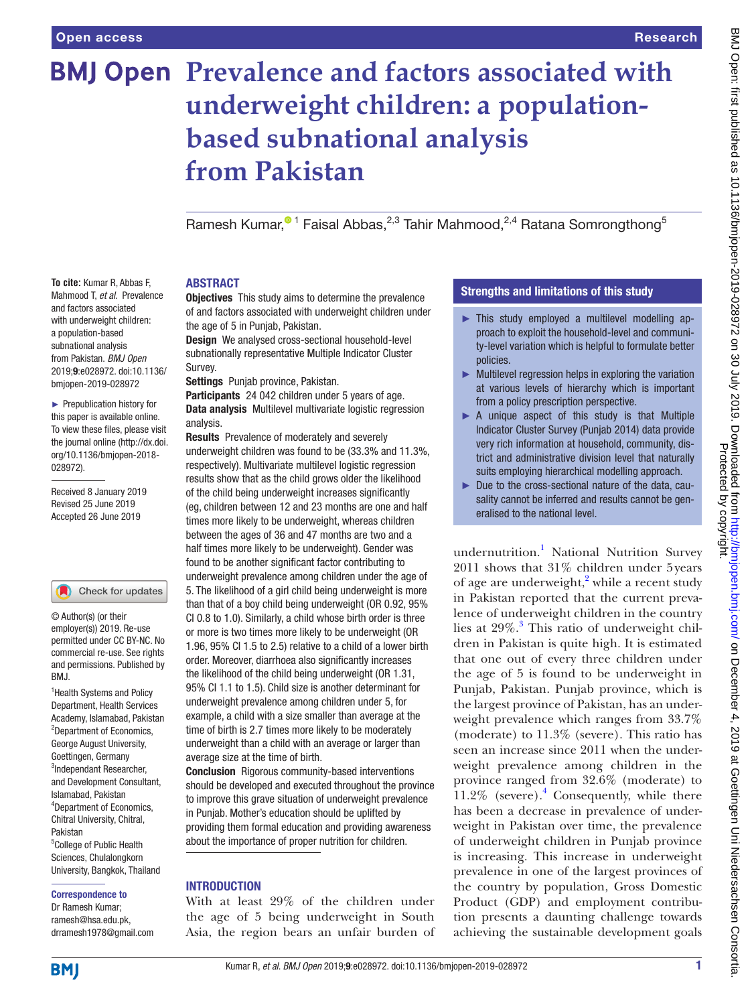# **BMJ Open Prevalence and factors associated with underweight children: a populationbased subnational analysis from Pakistan**

Ramesh Kumar,<sup> $\bullet$ 1</sup> Faisal Abbas,<sup>2,3</sup> Tahir Mahmood,<sup>2,4</sup> Ratana Somrongthong<sup>5</sup>

#### **To cite:** Kumar R, Abbas F, Mahmood T, *et al*. Prevalence and factors associated with underweight children: a population-based subnational analysis from Pakistan. *BMJ Open* 2019;9:e028972. doi:10.1136/ bmjopen-2019-028972

► Prepublication history for this paper is available online. To view these files, please visit the journal online (http://dx.doi. org/10.1136/bmjopen-2018- 028972).

Received 8 January 2019 Revised 25 June 2019 Accepted 26 June 2019

### Check for updates

© Author(s) (or their employer(s)) 2019. Re-use permitted under CC BY-NC. No commercial re-use. See rights and permissions. Published by BMJ.

<sup>1</sup> Health Systems and Policy Department, Health Services Academy, Islamabad, Pakistan <sup>2</sup>Department of Economics, George August University, Goettingen, Germany <sup>3</sup>Independant Researcher, and Development Consultant, Islamabad, Pakistan 4 Department of Economics, Chitral University, Chitral, Pakistan <sup>5</sup>College of Public Health Sciences, Chulalongkorn University, Bangkok, Thailand

#### Correspondence to

Dr Ramesh Kumar; ramesh@hsa.edu.pk, drramesh1978@gmail.com

# **ABSTRACT**

**Objectives** This study aims to determine the prevalence of and factors associated with underweight children under the age of 5 in Punjab, Pakistan.

Design We analysed cross-sectional household-level subnationally representative Multiple Indicator Cluster Survey.

Settings Punjab province, Pakistan.

Participants 24 042 children under 5 years of age. Data analysis Multilevel multivariate logistic regression analysis.

Results Prevalence of moderately and severely underweight children was found to be (33.3% and 11.3%, respectively). Multivariate multilevel logistic regression results show that as the child grows older the likelihood of the child being underweight increases significantly (eg, children between 12 and 23 months are one and half times more likely to be underweight, whereas children between the ages of 36 and 47 months are two and a half times more likely to be underweight). Gender was found to be another significant factor contributing to underweight prevalence among children under the age of 5. The likelihood of a girl child being underweight is more than that of a boy child being underweight (OR 0.92, 95% CI 0.8 to 1.0). Similarly, a child whose birth order is three or more is two times more likely to be underweight (OR 1.96, 95% CI 1.5 to 2.5) relative to a child of a lower birth order. Moreover, diarrhoea also significantly increases the likelihood of the child being underweight (OR 1.31, 95% CI 1.1 to 1.5). Child size is another determinant for underweight prevalence among children under 5, for example, a child with a size smaller than average at the time of birth is 2.7 times more likely to be moderately underweight than a child with an average or larger than average size at the time of birth.

Conclusion Rigorous community-based interventions should be developed and executed throughout the province to improve this grave situation of underweight prevalence in Punjab. Mother's education should be uplifted by providing them formal education and providing awareness about the importance of proper nutrition for children.

# **INTRODUCTION**

With at least 29% of the children under the age of 5 being underweight in South Asia, the region bears an unfair burden of

# Strengths and limitations of this study

- ► This study employed a multilevel modelling approach to exploit the household-level and community-level variation which is helpful to formulate better policies.
- $\blacktriangleright$  Multilevel regression helps in exploring the variation at various levels of hierarchy which is important from a policy prescription perspective.
- ► A unique aspect of this study is that Multiple Indicator Cluster Survey (Punjab 2014) data provide very rich information at household, community, district and administrative division level that naturally suits employing hierarchical modelling approach.
- ► Due to the cross-sectional nature of the data, causality cannot be inferred and results cannot be generalised to the national level.

undernutrition.<sup>[1](#page-11-0)</sup> National Nutrition Survey 2011 shows that 31% children under 5years of age are underweight,<sup>[2](#page-11-1)</sup> while a recent study in Pakistan reported that the current prevalence of underweight children in the country lies at 29%.<sup>[3](#page-11-2)</sup> This ratio of underweight children in Pakistan is quite high. It is estimated that one out of every three children under the age of 5 is found to be underweight in Punjab, Pakistan. Punjab province, which is the largest province of Pakistan, has an underweight prevalence which ranges from 33.7% (moderate) to 11.3% (severe). This ratio has seen an increase since 2011 when the underweight prevalence among children in the province ranged from 32.6% (moderate) to  $11.2\%$  (severe).<sup>[4](#page-11-3)</sup> Consequently, while there has been a decrease in prevalence of underweight in Pakistan over time, the prevalence of underweight children in Punjab province is increasing. This increase in underweight prevalence in one of the largest provinces of the country by population, Gross Domestic Product (GDP) and employment contribution presents a daunting challenge towards achieving the sustainable development goals

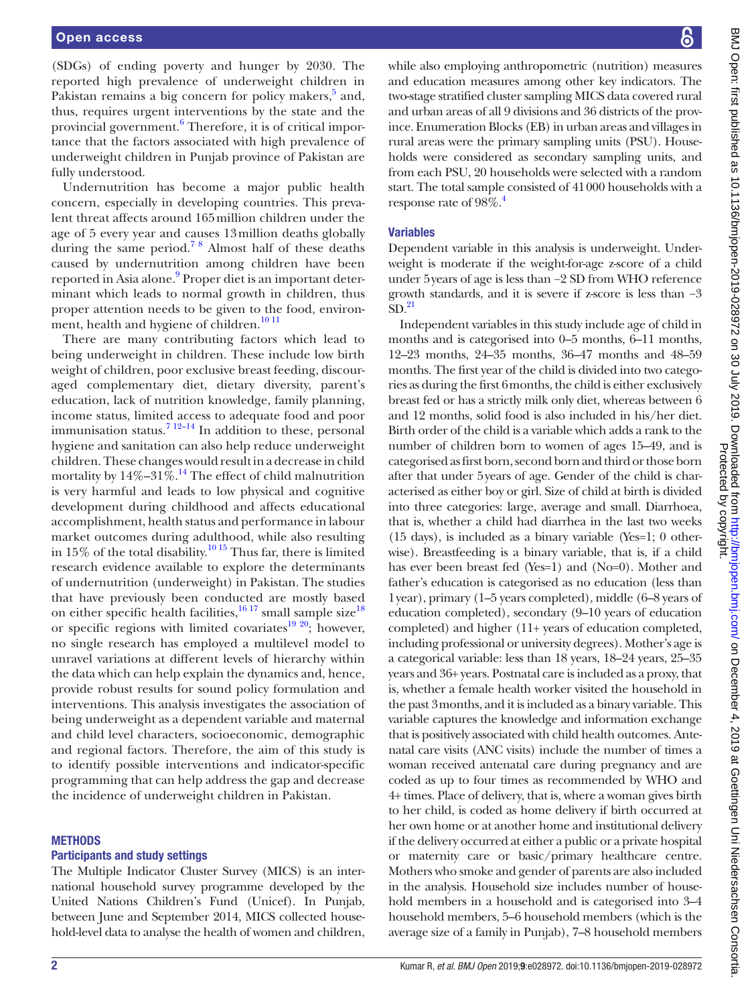(SDGs) of ending poverty and hunger by 2030. The reported high prevalence of underweight children in Pakistan remains a big concern for policy makers,<sup>5</sup> and, thus, requires urgent interventions by the state and the provincial government.<sup>6</sup> Therefore, it is of critical importance that the factors associated with high prevalence of underweight children in Punjab province of Pakistan are fully understood.

Undernutrition has become a major public health concern, especially in developing countries. This prevalent threat affects around 165million children under the age of 5 every year and causes 13million deaths globally during the same period.<sup>78</sup> Almost half of these deaths caused by undernutrition among children have been reported in Asia alone.<sup>[9](#page-11-7)</sup> Proper diet is an important determinant which leads to normal growth in children, thus proper attention needs to be given to the food, environ-ment, health and hygiene of children.<sup>[10 11](#page-11-8)</sup>

There are many contributing factors which lead to being underweight in children. These include low birth weight of children, poor exclusive breast feeding, discouraged complementary diet, dietary diversity, parent's education, lack of nutrition knowledge, family planning, income status, limited access to adequate food and poor immunisation status.<sup>7 12–14</sup> In addition to these, personal hygiene and sanitation can also help reduce underweight children.These changes would result in a decrease in child mortality by  $14\% - 31\%$ .<sup>14</sup> The effect of child malnutrition is very harmful and leads to low physical and cognitive development during childhood and affects educational accomplishment, health status and performance in labour market outcomes during adulthood, while also resulting in 15% of the total disability.<sup>10 15</sup> Thus far, there is limited research evidence available to explore the determinants of undernutrition (underweight) in Pakistan. The studies that have previously been conducted are mostly based on either specific health facilities, $1617$  small sample size<sup>18</sup> or specific regions with limited covariates<sup>19 20</sup>; however, no single research has employed a multilevel model to unravel variations at different levels of hierarchy within the data which can help explain the dynamics and, hence, provide robust results for sound policy formulation and interventions. This analysis investigates the association of being underweight as a dependent variable and maternal and child level characters, socioeconomic, demographic and regional factors. Therefore, the aim of this study is to identify possible interventions and indicator-specific programming that can help address the gap and decrease the incidence of underweight children in Pakistan.

#### **METHODS**

#### Participants and study settings

The Multiple Indicator Cluster Survey (MICS) is an international household survey programme developed by the United Nations Children's Fund (Unicef). In Punjab, between June and September 2014, MICS collected household-level data to analyse the health of women and children,

while also employing anthropometric (nutrition) measures and education measures among other key indicators. The two-stage stratified cluster sampling MICS data covered rural and urban areas of all 9 divisions and 36 districts of the province. Enumeration Blocks (EB) in urban areas and villages in rural areas were the primary sampling units (PSU). Households were considered as secondary sampling units, and from each PSU, 20 households were selected with a random start. The total sample consisted of 41000 households with a response rate of 98%.<sup>4</sup>

#### Variables

Dependent variable in this analysis is underweight. Underweight is moderate if the weight-for-age z-score of a child under 5years of age is less than −2 SD from WHO reference growth standards, and it is severe if z-score is less than −3  $SD.<sup>21</sup>$ 

Independent variables in this study include age of child in months and is categorised into 0–5 months, 6–11 months, 12–23 months, 24–35 months, 36–47 months and 48–59 months. The first year of the child is divided into two categories as during the first 6months, the child is either exclusively breast fed or has a strictly milk only diet, whereas between 6 and 12 months, solid food is also included in his/her diet. Birth order of the child is a variable which adds a rank to the number of children born to women of ages 15–49, and is categorised as first born, second born and third or those born after that under 5years of age. Gender of the child is characterised as either boy or girl. Size of child at birth is divided into three categories: large, average and small. Diarrhoea, that is, whether a child had diarrhea in the last two weeks (15 days), is included as a binary variable (Yes=1; 0 otherwise). Breastfeeding is a binary variable, that is, if a child has ever been breast fed (Yes=1) and (No=0). Mother and father's education is categorised as no education (less than 1year), primary (1–5 years completed), middle (6–8 years of education completed), secondary (9–10 years of education completed) and higher (11+ years of education completed, including professional or university degrees). Mother's age is a categorical variable: less than 18 years, 18–24 years, 25–35 years and 36+ years. Postnatal care is included as a proxy, that is, whether a female health worker visited the household in the past 3months, and it is included as a binary variable. This variable captures the knowledge and information exchange that is positively associated with child health outcomes. Antenatal care visits (ANC visits) include the number of times a woman received antenatal care during pregnancy and are coded as up to four times as recommended by WHO and 4+ times. Place of delivery, that is, where a woman gives birth to her child, is coded as home delivery if birth occurred at her own home or at another home and institutional delivery if the delivery occurred at either a public or a private hospital or maternity care or basic/primary healthcare centre. Mothers who smoke and gender of parents are also included in the analysis. Household size includes number of household members in a household and is categorised into 3–4 household members, 5–6 household members (which is the average size of a family in Punjab), 7–8 household members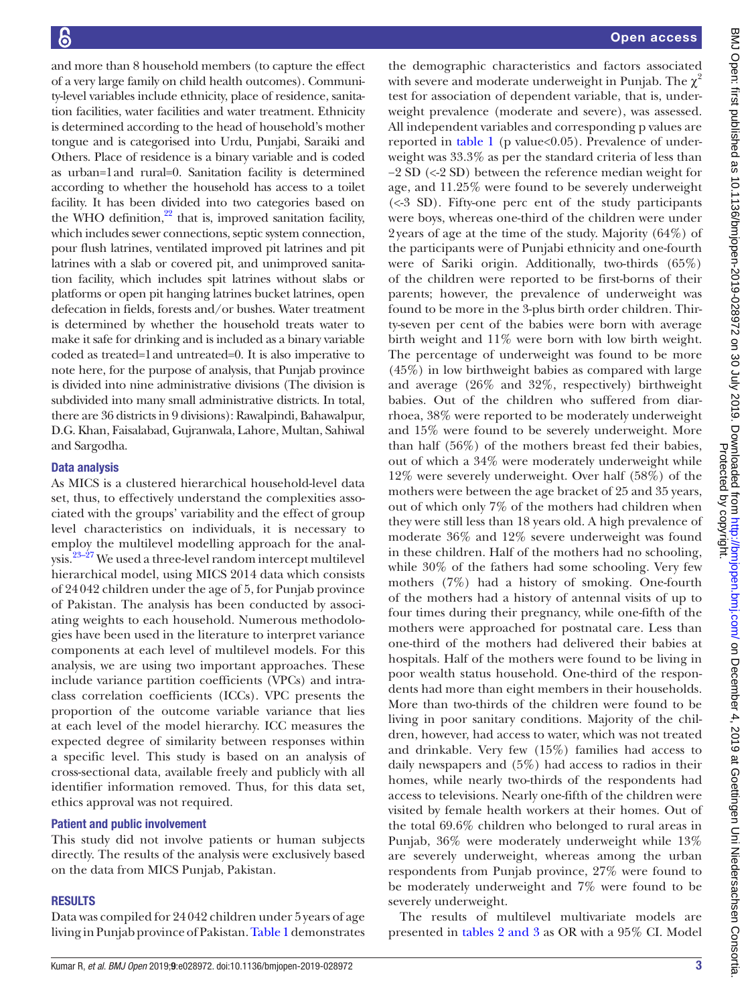and more than 8 household members (to capture the effect of a very large family on child health outcomes). Community-level variables include ethnicity, place of residence, sanitation facilities, water facilities and water treatment. Ethnicity is determined according to the head of household's mother tongue and is categorised into Urdu, Punjabi, Saraiki and Others. Place of residence is a binary variable and is coded as urban=1and rural=0. Sanitation facility is determined according to whether the household has access to a toilet facility. It has been divided into two categories based on the WHO definition, $^{22}$  $^{22}$  $^{22}$  that is, improved sanitation facility, which includes sewer connections, septic system connection, pour flush latrines, ventilated improved pit latrines and pit latrines with a slab or covered pit, and unimproved sanitation facility, which includes spit latrines without slabs or platforms or open pit hanging latrines bucket latrines, open defecation in fields, forests and/or bushes. Water treatment is determined by whether the household treats water to make it safe for drinking and is included as a binary variable coded as treated=1and untreated=0. It is also imperative to note here, for the purpose of analysis, that Punjab province is divided into nine administrative divisions (The division is subdivided into many small administrative districts. In total, there are 36 districts in 9 divisions): Rawalpindi, Bahawalpur, D.G. Khan, Faisalabad, Gujranwala, Lahore, Multan, Sahiwal and Sargodha.

# Data analysis

As MICS is a clustered hierarchical household-level data set, thus, to effectively understand the complexities associated with the groups' variability and the effect of group level characteristics on individuals, it is necessary to employ the multilevel modelling approach for the analysis[.23–27](#page-11-15) We used a three-level random intercept multilevel hierarchical model, using MICS 2014 data which consists of 24042 children under the age of 5, for Punjab province of Pakistan. The analysis has been conducted by associating weights to each household. Numerous methodologies have been used in the literature to interpret variance components at each level of multilevel models. For this analysis, we are using two important approaches. These include variance partition coefficients (VPCs) and intraclass correlation coefficients (ICCs). VPC presents the proportion of the outcome variable variance that lies at each level of the model hierarchy. ICC measures the expected degree of similarity between responses within a specific level. This study is based on an analysis of cross-sectional data, available freely and publicly with all identifier information removed. Thus, for this data set, ethics approval was not required.

# Patient and public involvement

This study did not involve patients or human subjects directly. The results of the analysis were exclusively based on the data from MICS Punjab, Pakistan.

## **RESULTS**

Data was compiled for 24042 children under 5years of age living in Punjab province of Pakistan. [Table](#page-3-0) 1 demonstrates

the demographic characteristics and factors associated with severe and moderate underweight in Punjab. The  $\chi^2$ test for association of dependent variable, that is, underweight prevalence (moderate and severe), was assessed. All independent variables and corresponding p values are reported in [table](#page-3-0) 1 (p value<0.05). Prevalence of underweight was 33.3% as per the standard criteria of less than −2 SD (<-2 SD) between the reference median weight for age, and 11.25% were found to be severely underweight (<-3 SD). Fifty-one perc ent of the study participants were boys, whereas one-third of the children were under 2years of age at the time of the study. Majority (64%) of the participants were of Punjabi ethnicity and one-fourth were of Sariki origin. Additionally, two-thirds (65%) of the children were reported to be first-borns of their parents; however, the prevalence of underweight was found to be more in the 3-plus birth order children. Thirty-seven per cent of the babies were born with average birth weight and 11% were born with low birth weight. The percentage of underweight was found to be more (45%) in low birthweight babies as compared with large and average (26% and 32%, respectively) birthweight babies. Out of the children who suffered from diarrhoea, 38% were reported to be moderately underweight and 15% were found to be severely underweight. More than half (56%) of the mothers breast fed their babies, out of which a 34% were moderately underweight while 12% were severely underweight. Over half (58%) of the mothers were between the age bracket of 25 and 35 years, out of which only 7% of the mothers had children when they were still less than 18 years old. A high prevalence of moderate 36% and 12% severe underweight was found in these children. Half of the mothers had no schooling, while 30% of the fathers had some schooling. Very few mothers (7%) had a history of smoking. One-fourth of the mothers had a history of antennal visits of up to four times during their pregnancy, while one-fifth of the mothers were approached for postnatal care. Less than one-third of the mothers had delivered their babies at hospitals. Half of the mothers were found to be living in poor wealth status household. One-third of the respondents had more than eight members in their households. More than two-thirds of the children were found to be living in poor sanitary conditions. Majority of the children, however, had access to water, which was not treated and drinkable. Very few (15%) families had access to daily newspapers and (5%) had access to radios in their homes, while nearly two-thirds of the respondents had access to televisions. Nearly one-fifth of the children were visited by female health workers at their homes. Out of the total 69.6% children who belonged to rural areas in Punjab, 36% were moderately underweight while 13% are severely underweight, whereas among the urban respondents from Punjab province, 27% were found to be moderately underweight and 7% were found to be severely underweight.

The results of multilevel multivariate models are presented in tables [2 and 3](#page-6-0) as OR with a 95% CI. Model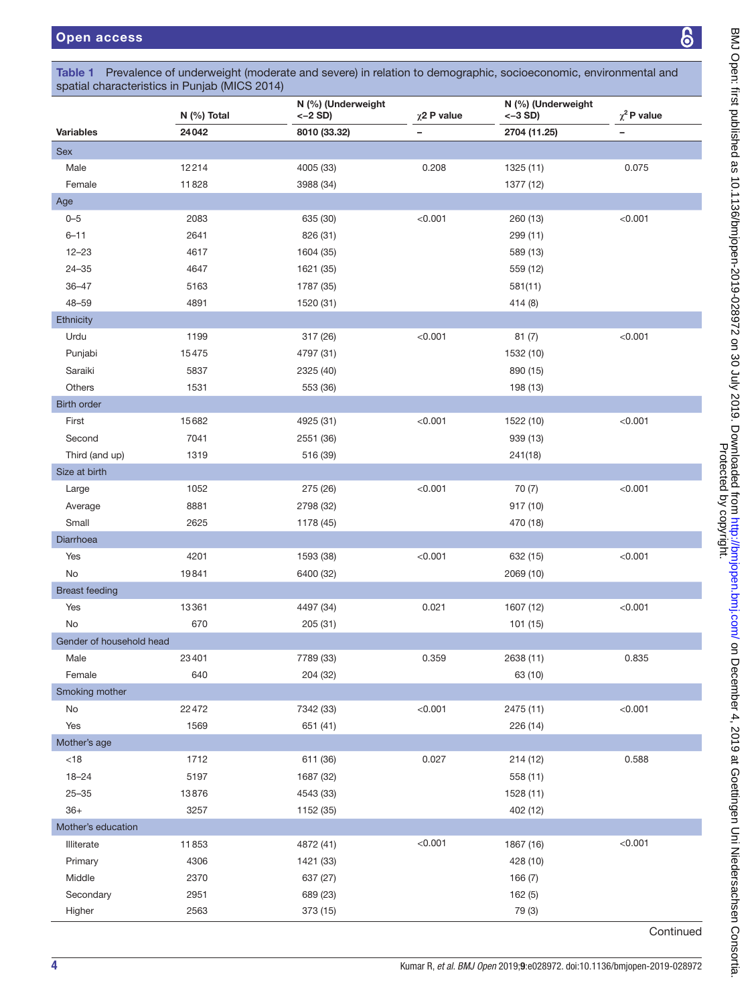BMJ Open: first published as 10.1136/bmjopen-2019-028972 on 30 July 2019. Downloaded from http://bmjopen.bmj.com/ on December 4, 2019 at Goettingen Uni Niedersachsen Consortia.<br>Protected by consortiant on the consortiant o BMJ Open: first published as 10.1136/bmjopen-2019-028972 on 30 July 2019. Downloaded from <http://bmjopen.bmj.com/> Becember 4, 2019 at Goettingen Uni Niedersachsen Consortia. Protected by copyright.

<span id="page-3-0"></span>Table 1 Prevalence of underweight (moderate and severe) in relation to demographic, socioeconomic, environmental and spatial characteristics in Punjab (MICS 2014)

|                          | N (%) Total | N (%) (Underweight<br>$<-2$ SD) | $\chi$ 2 P value | N (%) (Underweight<br>$<-3$ SD) | $\chi^2$ P value |
|--------------------------|-------------|---------------------------------|------------------|---------------------------------|------------------|
| <b>Variables</b>         | 24042       | 8010 (33.32)                    |                  | 2704 (11.25)                    |                  |
| <b>Sex</b>               |             |                                 |                  |                                 |                  |
| Male                     | 12214       | 4005 (33)                       | 0.208            | 1325 (11)                       | 0.075            |
| Female                   | 11828       | 3988 (34)                       |                  | 1377 (12)                       |                  |
| Age                      |             |                                 |                  |                                 |                  |
| $0 - 5$                  | 2083        | 635 (30)                        | < 0.001          | 260 (13)                        | < 0.001          |
| $6 - 11$                 | 2641        | 826 (31)                        |                  | 299 (11)                        |                  |
| $12 - 23$                | 4617        | 1604 (35)                       |                  | 589 (13)                        |                  |
| $24 - 35$                | 4647        | 1621 (35)                       |                  | 559 (12)                        |                  |
| $36 - 47$                | 5163        | 1787 (35)                       |                  | 581(11)                         |                  |
| $48 - 59$                | 4891        | 1520 (31)                       |                  | 414 (8)                         |                  |
| Ethnicity                |             |                                 |                  |                                 |                  |
| Urdu                     | 1199        | 317 (26)                        | < 0.001          | 81(7)                           | < 0.001          |
| Punjabi                  | 15475       | 4797 (31)                       |                  | 1532 (10)                       |                  |
| Saraiki                  | 5837        | 2325 (40)                       |                  | 890 (15)                        |                  |
| Others                   | 1531        | 553 (36)                        |                  | 198 (13)                        |                  |
| <b>Birth order</b>       |             |                                 |                  |                                 |                  |
| First                    | 15682       | 4925 (31)                       | < 0.001          | 1522 (10)                       | < 0.001          |
| Second                   | 7041        | 2551 (36)                       |                  | 939 (13)                        |                  |
| Third (and up)           | 1319        | 516 (39)                        |                  | 241(18)                         |                  |
| Size at birth            |             |                                 |                  |                                 |                  |
| Large                    | 1052        | 275 (26)                        | < 0.001          | 70 (7)                          | < 0.001          |
| Average                  | 8881        | 2798 (32)                       |                  | 917 (10)                        |                  |
| Small                    | 2625        | 1178 (45)                       |                  | 470 (18)                        |                  |
| Diarrhoea                |             |                                 |                  |                                 |                  |
| Yes                      | 4201        | 1593 (38)                       | < 0.001          | 632 (15)                        | < 0.001          |
| No                       | 19841       | 6400 (32)                       |                  | 2069 (10)                       |                  |
| <b>Breast feeding</b>    |             |                                 |                  |                                 |                  |
| Yes                      | 13361       | 4497 (34)                       | 0.021            | 1607 (12)                       | < 0.001          |
| No                       | 670         | 205 (31)                        |                  | 101 (15)                        |                  |
| Gender of household head |             |                                 |                  |                                 |                  |
| Male                     | 23401       | 7789 (33)                       | 0.359            | 2638 (11)                       | 0.835            |
| Female                   | 640         | 204 (32)                        |                  | 63 (10)                         |                  |
| Smoking mother           |             |                                 |                  |                                 |                  |
| No                       | 22472       | 7342 (33)                       | < 0.001          | 2475 (11)                       | < 0.001          |
| Yes                      | 1569        | 651 (41)                        |                  | 226 (14)                        |                  |
| Mother's age             |             |                                 |                  |                                 |                  |
| $<18$                    | 1712        | 611 (36)                        | 0.027            | 214(12)                         | 0.588            |
| $18 - 24$                | 5197        | 1687 (32)                       |                  | 558 (11)                        |                  |
| $25 - 35$                | 13876       | 4543 (33)                       |                  | 1528 (11)                       |                  |
| $36+$                    | 3257        | 1152 (35)                       |                  | 402 (12)                        |                  |
| Mother's education       |             |                                 |                  |                                 |                  |
| Illiterate               | 11853       | 4872 (41)                       | < 0.001          | 1867 (16)                       | < 0.001          |
| Primary                  | 4306        | 1421 (33)                       |                  | 428 (10)                        |                  |
| Middle                   | 2370        | 637 (27)                        |                  | 166(7)                          |                  |
| Secondary                | 2951        | 689 (23)                        |                  | 162(5)                          |                  |
| Higher                   | 2563        | 373 (15)                        |                  | 79 (3)                          |                  |

Continued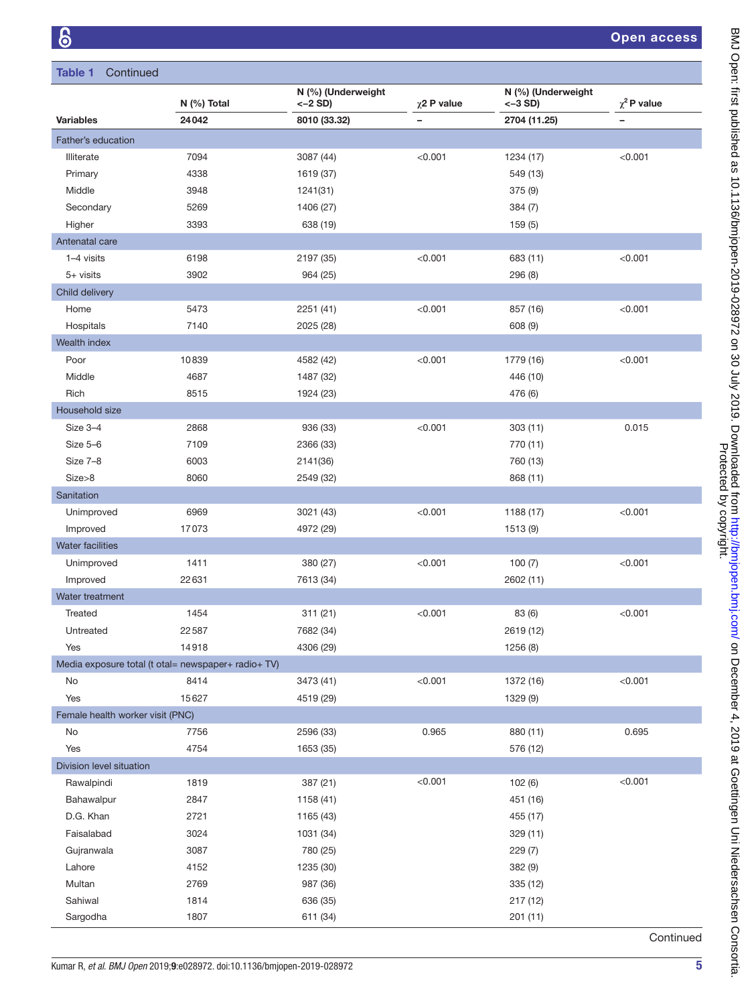| Continued<br><b>Table 1</b>      |                                                     |                                 |                  |                                 |                  |
|----------------------------------|-----------------------------------------------------|---------------------------------|------------------|---------------------------------|------------------|
|                                  | N (%) Total                                         | N (%) (Underweight<br>$<-2$ SD) | $\chi$ 2 P value | N (%) (Underweight<br>$<-3$ SD) | $\chi^2$ P value |
| <b>Variables</b>                 | 24042                                               | 8010 (33.32)                    | $\overline{a}$   | 2704 (11.25)                    | ۰                |
| Father's education               |                                                     |                                 |                  |                                 |                  |
| Illiterate                       | 7094                                                | 3087 (44)                       | < 0.001          | 1234 (17)                       | < 0.001          |
| Primary                          | 4338                                                | 1619 (37)                       |                  | 549 (13)                        |                  |
| Middle                           | 3948                                                | 1241(31)                        |                  | 375(9)                          |                  |
| Secondary                        | 5269                                                | 1406 (27)                       |                  | 384(7)                          |                  |
| Higher                           | 3393                                                | 638 (19)                        |                  | 159 (5)                         |                  |
| Antenatal care                   |                                                     |                                 |                  |                                 |                  |
| $1-4$ visits                     | 6198                                                | 2197 (35)                       | < 0.001          | 683 (11)                        | < 0.001          |
| $5+$ visits                      | 3902                                                | 964 (25)                        |                  | 296 (8)                         |                  |
| Child delivery                   |                                                     |                                 |                  |                                 |                  |
| Home                             | 5473                                                | 2251 (41)                       | < 0.001          | 857 (16)                        | < 0.001          |
| Hospitals                        | 7140                                                | 2025 (28)                       |                  | 608 (9)                         |                  |
| <b>Wealth index</b>              |                                                     |                                 |                  |                                 |                  |
| Poor                             | 10839                                               | 4582 (42)                       | < 0.001          | 1779 (16)                       | < 0.001          |
| Middle                           | 4687                                                | 1487 (32)                       |                  | 446 (10)                        |                  |
| Rich                             | 8515                                                | 1924 (23)                       |                  | 476 (6)                         |                  |
| <b>Household size</b>            |                                                     |                                 |                  |                                 |                  |
| Size 3-4                         | 2868                                                | 936 (33)                        | < 0.001          | 303(11)                         | 0.015            |
| Size 5-6                         | 7109                                                | 2366 (33)                       |                  | 770 (11)                        |                  |
| Size 7-8                         | 6003                                                | 2141(36)                        |                  | 760 (13)                        |                  |
| Size>8                           | 8060                                                | 2549 (32)                       |                  | 868 (11)                        |                  |
| Sanitation                       |                                                     |                                 |                  |                                 |                  |
| Unimproved                       | 6969                                                | 3021 (43)                       | < 0.001          | 1188 (17)                       | < 0.001          |
| Improved                         | 17073                                               | 4972 (29)                       |                  | 1513 (9)                        |                  |
| <b>Water facilities</b>          |                                                     |                                 |                  |                                 |                  |
| Unimproved                       | 1411                                                | 380 (27)                        | < 0.001          | 100(7)                          | < 0.001          |
| Improved                         | 22631                                               | 7613 (34)                       |                  | 2602 (11)                       |                  |
| Water treatment                  |                                                     |                                 |                  |                                 |                  |
| Treated                          | 1454                                                | 311(21)                         | < 0.001          | 83 (6)                          | < 0.001          |
| Untreated                        | 22587                                               | 7682 (34)                       |                  | 2619 (12)                       |                  |
| Yes                              | 14918                                               | 4306 (29)                       |                  | 1256 (8)                        |                  |
|                                  | Media exposure total (t otal= newspaper+ radio+ TV) |                                 |                  |                                 |                  |
| No                               | 8414                                                | 3473 (41)                       | < 0.001          | 1372 (16)                       | < 0.001          |
| Yes                              | 15627                                               | 4519 (29)                       |                  | 1329 (9)                        |                  |
| Female health worker visit (PNC) |                                                     |                                 |                  |                                 |                  |
| No                               | 7756                                                | 2596 (33)                       | 0.965            | 880 (11)                        | 0.695            |
| Yes                              | 4754                                                | 1653 (35)                       |                  | 576 (12)                        |                  |
| Division level situation         |                                                     |                                 |                  |                                 |                  |
| Rawalpindi                       | 1819                                                | 387 (21)                        | < 0.001          | 102(6)                          | < 0.001          |
| Bahawalpur                       | 2847                                                | 1158 (41)                       |                  | 451 (16)                        |                  |
| D.G. Khan                        | 2721                                                | 1165 (43)                       |                  | 455 (17)                        |                  |
| Faisalabad                       | 3024                                                | 1031 (34)                       |                  | 329 (11)                        |                  |
| Gujranwala                       | 3087                                                | 780 (25)                        |                  | 229(7)                          |                  |
| Lahore                           | 4152                                                | 1235 (30)                       |                  | 382 (9)                         |                  |
| Multan                           | 2769                                                | 987 (36)                        |                  | 335 (12)                        |                  |
| Sahiwal                          | 1814                                                | 636 (35)                        |                  | 217 (12)                        |                  |
| Sargodha                         | 1807                                                | 611 (34)                        |                  | 201 (11)                        |                  |

Continued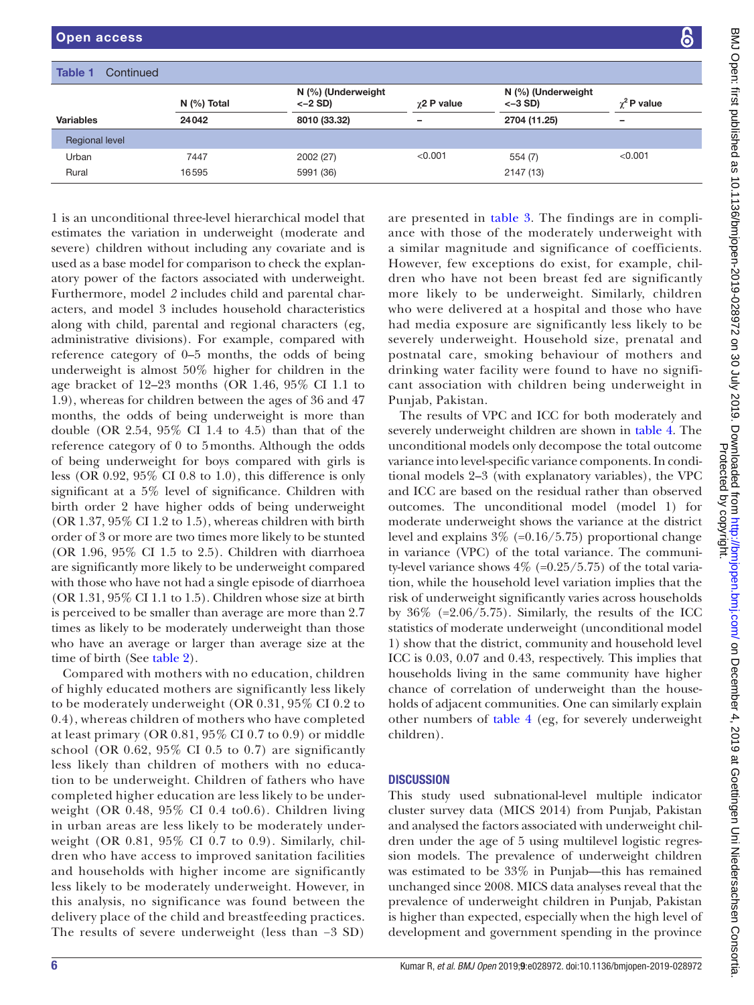$1$  is an uncom-

Variables

Table 1 C

|                       | $N$ (%) Total | N (%) (Underweight<br>$<-2$ SD)                                                                                                                                     | $\chi$ 2 P value | N (%) (Underweight<br>$<-3$ SD)                                                                                                                                      | $\gamma^2$ P value |
|-----------------------|---------------|---------------------------------------------------------------------------------------------------------------------------------------------------------------------|------------------|----------------------------------------------------------------------------------------------------------------------------------------------------------------------|--------------------|
| riables               | 24042         | 8010 (33.32)                                                                                                                                                        |                  | 2704 (11.25)                                                                                                                                                         |                    |
| <b>Regional level</b> |               |                                                                                                                                                                     |                  |                                                                                                                                                                      |                    |
| Urban                 | 7447          | 2002 (27)                                                                                                                                                           | < 0.001          | 554 (7)                                                                                                                                                              | < 0.001            |
| Rural                 | 16595         | 5991 (36)                                                                                                                                                           |                  | 2147 (13)                                                                                                                                                            |                    |
|                       |               | s an unconditional three-level hierarchical model that<br>imates the variation in underweight (moderate and<br>ere) children without including any covariate and is |                  | are presented in table 3. The findings are in compli-<br>ance with those of the moderately underweight with<br>a similar magnitude and significance of coefficients. |                    |

estimates the severe) chil used as a base model for comparison to check the explanatory power of the factors associated with underweight. Furthermore, model *2* includes child and parental characters, and model 3 includes household characteristics along with child, parental and regional characters (eg, administrative divisions). For example, compared with reference category of 0–5 months, the odds of being underweight is almost 50% higher for children in the age bracket of 12–23 months (OR 1.46, 95% CI 1.1 to 1.9), whereas for children between the ages of 36 and 47 months, the odds of being underweight is more than double (OR 2.54, 95% CI 1.4 to 4.5) than that of the reference category of 0 to 5months. Although the odds of being underweight for boys compared with girls is less (OR 0.92, 95% CI 0.8 to 1.0), this difference is only significant at a 5% level of significance. Children with birth order 2 have higher odds of being underweight  $(OR 1.37, 95\% \text{ CI} 1.2 \text{ to } 1.5)$ , whereas children with birth order of 3 or more are two times more likely to be stunted (OR 1.96, 95% CI 1.5 to 2.5). Children with diarrhoea are significantly more likely to be underweight compared with those who have not had a single episode of diarrhoea (OR 1.31, 95% CI 1.1 to 1.5). Children whose size at birth is perceived to be smaller than average are more than 2.7 times as likely to be moderately underweight than those who have an average or larger than average size at the time of birth (See [table](#page-6-0) 2).

Compared with mothers with no education, children of highly educated mothers are significantly less likely to be moderately underweight (OR 0.31, 95% CI 0.2 to 0.4), whereas children of mothers who have completed at least primary (OR 0.81, 95% CI 0.7 to 0.9) or middle school (OR 0.62,  $95\%$  CI 0.5 to 0.7) are significantly less likely than children of mothers with no education to be underweight. Children of fathers who have completed higher education are less likely to be underweight (OR 0.48, 95% CI 0.4 to0.6). Children living in urban areas are less likely to be moderately underweight (OR 0.81, 95% CI 0.7 to 0.9). Similarly, children who have access to improved sanitation facilities and households with higher income are significantly less likely to be moderately underweight. However, in this analysis, no significance was found between the delivery place of the child and breastfeeding practices. The results of severe underweight (less than −3 SD)

ance with those of the moderately underweight with a similar magnitude and significance of coefficients. However, few exceptions do exist, for example, children who have not been breast fed are significantly more likely to be underweight. Similarly, children who were delivered at a hospital and those who have had media exposure are significantly less likely to be severely underweight. Household size, prenatal and postnatal care, smoking behaviour of mothers and drinking water facility were found to have no significant association with children being underweight in Punjab, Pakistan.

The results of VPC and ICC for both moderately and severely underweight children are shown in [table](#page-10-0) 4. The unconditional models only decompose the total outcome variance into level-specific variance components. In conditional models 2–3 (with explanatory variables), the VPC and ICC are based on the residual rather than observed outcomes. The unconditional model (model 1) for moderate underweight shows the variance at the district level and explains  $3\%$  (=0.16/5.75) proportional change in variance (VPC) of the total variance. The community-level variance shows  $4\%$  (=0.25/5.75) of the total variation, while the household level variation implies that the risk of underweight significantly varies across households by  $36\%$  (=2.06/5.75). Similarly, the results of the ICC statistics of moderate underweight (unconditional model 1) show that the district, community and household level ICC is 0.03, 0.07 and 0.43, respectively. This implies that households living in the same community have higher chance of correlation of underweight than the households of adjacent communities. One can similarly explain other numbers of [table](#page-10-0) 4 (eg, for severely underweight children).

# **DISCUSSION**

This study used subnational-level multiple indicator cluster survey data (MICS 2014) from Punjab, Pakistan and analysed the factors associated with underweight children under the age of 5 using multilevel logistic regression models. The prevalence of underweight children was estimated to be 33% in Punjab—this has remained unchanged since 2008. MICS data analyses reveal that the prevalence of underweight children in Punjab, Pakistan is higher than expected, especially when the high level of development and government spending in the province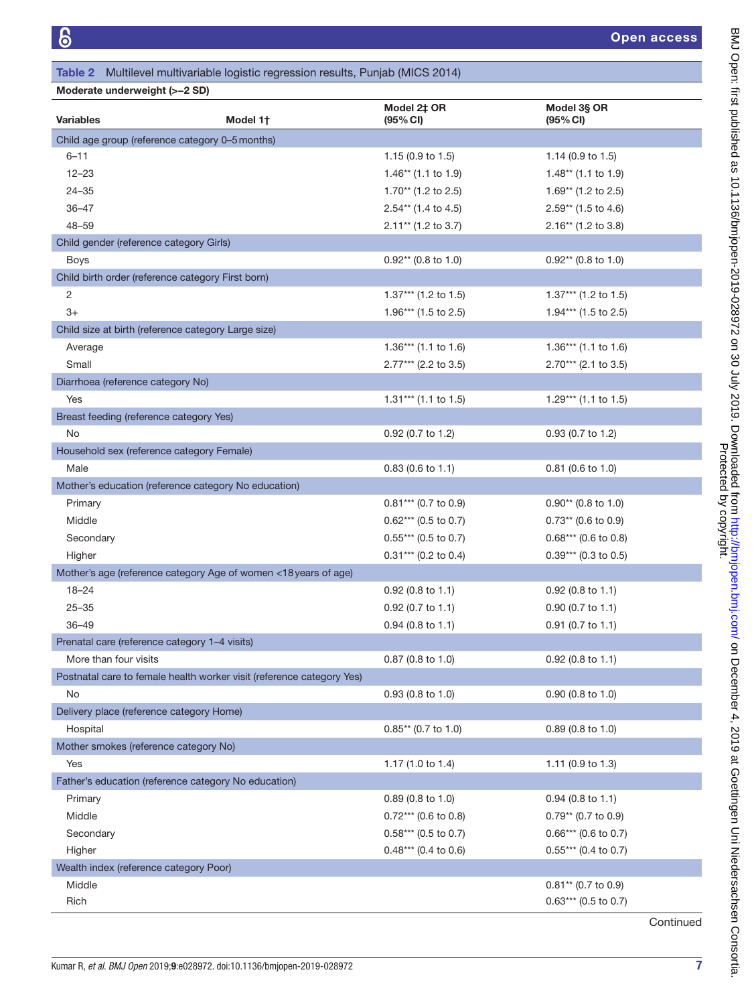# <span id="page-6-0"></span>Table 2 Multilevel multivariable logistic regression results, Punjab (MICS 2014)

Moderate underweight (>−2 SD)

|                                                                       |                      | Model 2‡ OR            | Model 3§ OR            |
|-----------------------------------------------------------------------|----------------------|------------------------|------------------------|
| <b>Variables</b>                                                      | Model 1 <sup>+</sup> | (95% CI)               | (95% CI)               |
| Child age group (reference category 0-5 months)                       |                      |                        |                        |
| $6 - 11$                                                              |                      | 1.15 (0.9 to 1.5)      | 1.14 (0.9 to 1.5)      |
| $12 - 23$                                                             |                      | $1.46**$ (1.1 to 1.9)  | $1.48**$ (1.1 to 1.9)  |
| $24 - 35$                                                             |                      | $1.70**$ (1.2 to 2.5)  | $1.69**$ (1.2 to 2.5)  |
| $36 - 47$                                                             |                      | $2.54**$ (1.4 to 4.5)  | $2.59**$ (1.5 to 4.6)  |
| $48 - 59$                                                             |                      | 2.11** (1.2 to 3.7)    | $2.16**$ (1.2 to 3.8)  |
| Child gender (reference category Girls)                               |                      |                        |                        |
| <b>Boys</b>                                                           |                      | $0.92**$ (0.8 to 1.0)  | $0.92**$ (0.8 to 1.0)  |
| Child birth order (reference category First born)                     |                      |                        |                        |
| $\overline{c}$                                                        |                      | $1.37***$ (1.2 to 1.5) | $1.37***$ (1.2 to 1.5) |
| $3+$                                                                  |                      | $1.96***$ (1.5 to 2.5) | $1.94***$ (1.5 to 2.5) |
| Child size at birth (reference category Large size)                   |                      |                        |                        |
| Average                                                               |                      | $1.36***$ (1.1 to 1.6) | $1.36***$ (1.1 to 1.6) |
| Small                                                                 |                      | 2.77*** (2.2 to 3.5)   | $2.70***$ (2.1 to 3.5) |
| Diarrhoea (reference category No)                                     |                      |                        |                        |
| Yes                                                                   |                      | $1.31***$ (1.1 to 1.5) | $1.29***$ (1.1 to 1.5) |
| Breast feeding (reference category Yes)                               |                      |                        |                        |
| <b>No</b>                                                             |                      | 0.92 (0.7 to 1.2)      | 0.93 (0.7 to 1.2)      |
| Household sex (reference category Female)                             |                      |                        |                        |
| Male                                                                  |                      | $0.83$ (0.6 to 1.1)    | $0.81$ (0.6 to 1.0)    |
| Mother's education (reference category No education)                  |                      |                        |                        |
| Primary                                                               |                      | $0.81***$ (0.7 to 0.9) | $0.90**$ (0.8 to 1.0)  |
| Middle                                                                |                      | $0.62***$ (0.5 to 0.7) | $0.73**$ (0.6 to 0.9)  |
| Secondary                                                             |                      | $0.55***$ (0.5 to 0.7) | $0.68***$ (0.6 to 0.8) |
| Higher                                                                |                      | $0.31***$ (0.2 to 0.4) | $0.39***$ (0.3 to 0.5) |
| Mother's age (reference category Age of women <18 years of age)       |                      |                        |                        |
| $18 - 24$                                                             |                      | $0.92$ (0.8 to 1.1)    | $0.92$ (0.8 to 1.1)    |
| $25 - 35$                                                             |                      | $0.92$ (0.7 to 1.1)    | 0.90 (0.7 to 1.1)      |
| $36 - 49$                                                             |                      | $0.94$ (0.8 to 1.1)    | $0.91$ (0.7 to 1.1)    |
| Prenatal care (reference category 1-4 visits)                         |                      |                        |                        |
| More than four visits                                                 |                      | 0.87 (0.8 to 1.0)      | 0.92 (0.8 to 1.1)      |
| Postnatal care to female health worker visit (reference category Yes) |                      |                        |                        |
| No                                                                    |                      | 0.93 (0.8 to 1.0)      | 0.90 (0.8 to 1.0)      |
| Delivery place (reference category Home)                              |                      |                        |                        |
| Hospital                                                              |                      | $0.85**$ (0.7 to 1.0)  | $0.89$ (0.8 to 1.0)    |
| Mother smokes (reference category No)                                 |                      |                        |                        |
| Yes                                                                   |                      | 1.17 (1.0 to 1.4)      | 1.11 (0.9 to 1.3)      |
| Father's education (reference category No education)                  |                      |                        |                        |
| Primary                                                               |                      | $0.89$ (0.8 to 1.0)    | $0.94$ (0.8 to 1.1)    |
| Middle                                                                |                      | $0.72***$ (0.6 to 0.8) | $0.79**$ (0.7 to 0.9)  |
| Secondary                                                             |                      | $0.58***$ (0.5 to 0.7) | $0.66***$ (0.6 to 0.7) |
| Higher                                                                |                      | $0.48***$ (0.4 to 0.6) | $0.55***$ (0.4 to 0.7) |
| Wealth index (reference category Poor)                                |                      |                        |                        |
| Middle                                                                |                      |                        | $0.81**$ (0.7 to 0.9)  |
| Rich                                                                  |                      |                        | $0.63***$ (0.5 to 0.7) |

Protected by copyright.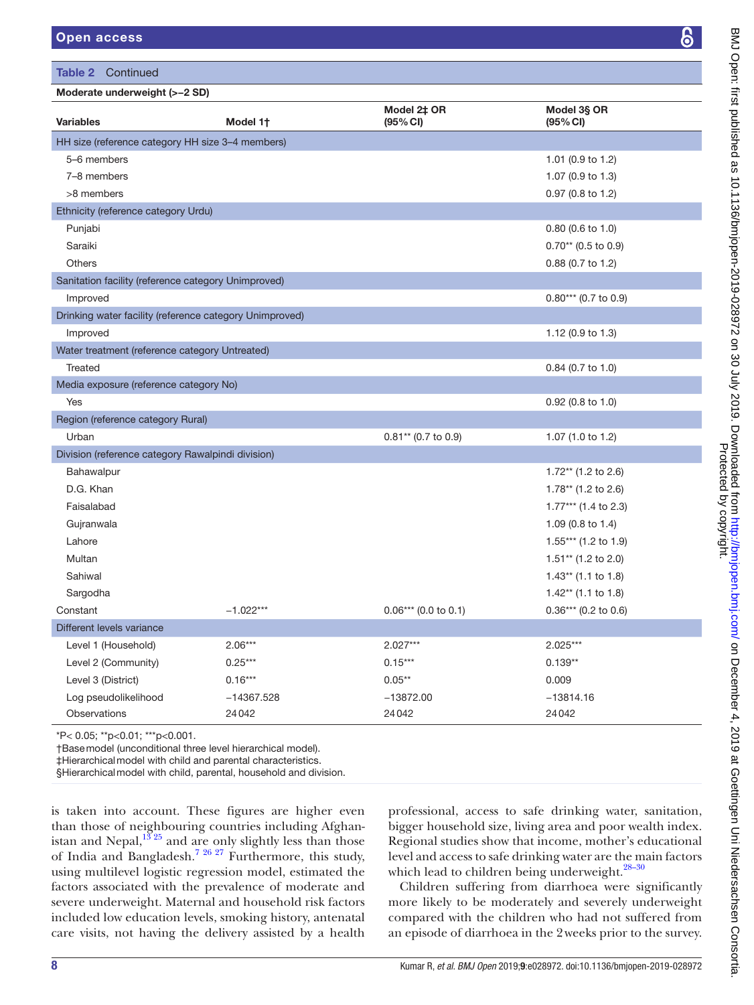# Table 2 Continued

| Moderate underweight (>-2 SD)                           |                      |                         |                         |  |  |  |
|---------------------------------------------------------|----------------------|-------------------------|-------------------------|--|--|--|
| <b>Variables</b>                                        | Model 1 <sup>+</sup> | Model 2‡ OR<br>(95% CI) | Model 3§ OR<br>(95% CI) |  |  |  |
| HH size (reference category HH size 3-4 members)        |                      |                         |                         |  |  |  |
| 5-6 members                                             |                      |                         | 1.01 (0.9 to 1.2)       |  |  |  |
| 7-8 members                                             |                      |                         | 1.07 (0.9 to 1.3)       |  |  |  |
| >8 members                                              |                      |                         | 0.97 (0.8 to 1.2)       |  |  |  |
| Ethnicity (reference category Urdu)                     |                      |                         |                         |  |  |  |
| Punjabi                                                 |                      |                         | $0.80$ (0.6 to 1.0)     |  |  |  |
| Saraiki                                                 |                      |                         | $0.70**$ (0.5 to 0.9)   |  |  |  |
| <b>Others</b>                                           |                      |                         | $0.88$ (0.7 to 1.2)     |  |  |  |
| Sanitation facility (reference category Unimproved)     |                      |                         |                         |  |  |  |
| Improved                                                |                      |                         | $0.80***$ (0.7 to 0.9)  |  |  |  |
| Drinking water facility (reference category Unimproved) |                      |                         |                         |  |  |  |
| Improved                                                |                      |                         | 1.12 (0.9 to 1.3)       |  |  |  |
| Water treatment (reference category Untreated)          |                      |                         |                         |  |  |  |
| Treated                                                 |                      |                         | $0.84$ (0.7 to 1.0)     |  |  |  |
| Media exposure (reference category No)                  |                      |                         |                         |  |  |  |
| Yes                                                     |                      |                         | $0.92$ (0.8 to 1.0)     |  |  |  |
| Region (reference category Rural)                       |                      |                         |                         |  |  |  |
| Urban                                                   |                      | $0.81**$ (0.7 to 0.9)   | 1.07 (1.0 to 1.2)       |  |  |  |
| Division (reference category Rawalpindi division)       |                      |                         |                         |  |  |  |
| Bahawalpur                                              |                      |                         | $1.72**$ (1.2 to 2.6)   |  |  |  |
| D.G. Khan                                               |                      |                         | $1.78**$ (1.2 to 2.6)   |  |  |  |
| Faisalabad                                              |                      |                         | $1.77***$ (1.4 to 2.3)  |  |  |  |
| Gujranwala                                              |                      |                         | 1.09 (0.8 to 1.4)       |  |  |  |
| Lahore                                                  |                      |                         | $1.55***$ (1.2 to 1.9)  |  |  |  |
| Multan                                                  |                      |                         | $1.51**$ (1.2 to 2.0)   |  |  |  |
| Sahiwal                                                 |                      |                         | $1.43**$ (1.1 to 1.8)   |  |  |  |
| Sargodha                                                |                      |                         | $1.42**$ (1.1 to 1.8)   |  |  |  |
| Constant                                                | $-1.022***$          | $0.06***$ (0.0 to 0.1)  | $0.36***$ (0.2 to 0.6)  |  |  |  |
| Different levels variance                               |                      |                         |                         |  |  |  |
| Level 1 (Household)                                     | $2.06***$            | $2.027***$              | $2.025***$              |  |  |  |
| Level 2 (Community)                                     | $0.25***$            | $0.15***$               | $0.139**$               |  |  |  |
| Level 3 (District)                                      | $0.16***$            | $0.05***$               | 0.009                   |  |  |  |
| Log pseudolikelihood                                    | $-14367.528$         | $-13872.00$             | $-13814.16$             |  |  |  |
| Observations                                            | 24042                | 24042                   | 24042                   |  |  |  |

\*P< 0.05; \*\*p<0.01; \*\*\*p<0.001.

†Basemodel (unconditional three level hierarchical model).

‡Hierarchicalmodel with child and parental characteristics.

§Hierarchicalmodel with child, parental, household and division.

is taken into account. These figures are higher even than those of neighbouring countries including Afghanistan and Nepal, $\frac{1325}{25}$  and are only slightly less than those of India and Bangladesh.[7 26 27](#page-11-6) Furthermore, this study, using multilevel logistic regression model, estimated the factors associated with the prevalence of moderate and severe underweight. Maternal and household risk factors included low education levels, smoking history, antenatal care visits, not having the delivery assisted by a health

professional, access to safe drinking water, sanitation, bigger household size, living area and poor wealth index. Regional studies show that income, mother's educational level and access to safe drinking water are the main factors which lead to children being underweight. $28-30$ 

Children suffering from diarrhoea were significantly more likely to be moderately and severely underweight compared with the children who had not suffered from an episode of diarrhoea in the 2weeks prior to the survey.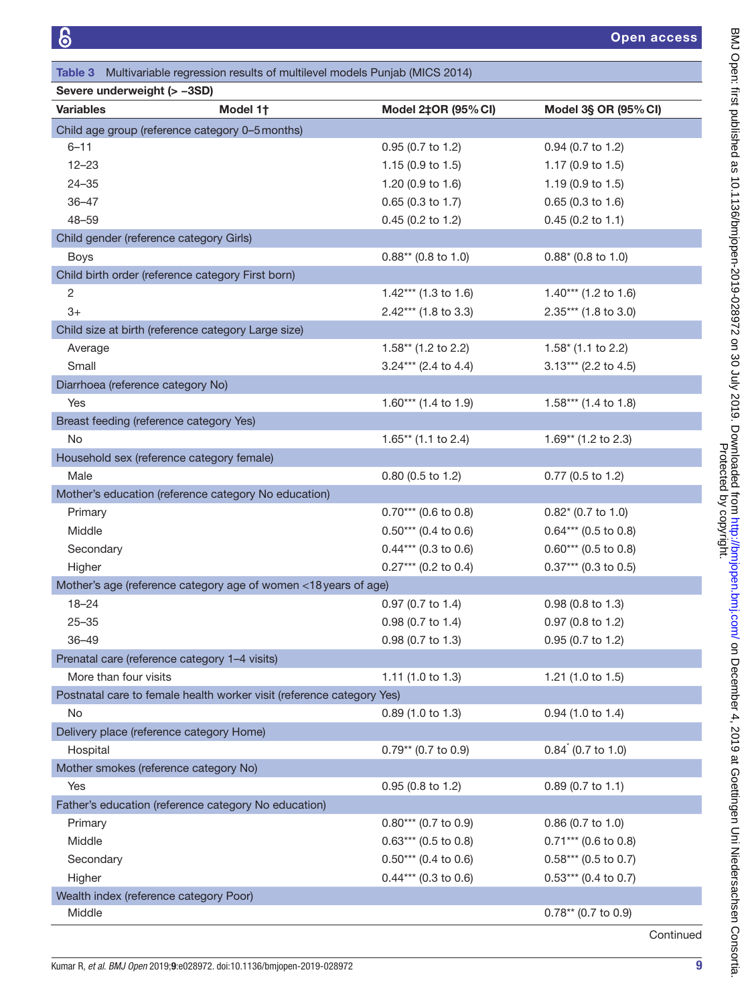<span id="page-8-0"></span>

|                                                      | Table 3 Multivariable regression results of multilevel models Punjab (MICS 2014) |                        |                                  |  |  |  |
|------------------------------------------------------|----------------------------------------------------------------------------------|------------------------|----------------------------------|--|--|--|
| Severe underweight (> -3SD)                          |                                                                                  |                        |                                  |  |  |  |
| <b>Variables</b>                                     | Model 1 <sup>+</sup>                                                             | Model 2‡OR (95% CI)    | Model 3§ OR (95% CI)             |  |  |  |
| Child age group (reference category 0-5 months)      |                                                                                  |                        |                                  |  |  |  |
| $6 - 11$                                             |                                                                                  | $0.95$ (0.7 to 1.2)    | $0.94$ (0.7 to 1.2)              |  |  |  |
| $12 - 23$                                            |                                                                                  | 1.15 (0.9 to 1.5)      | 1.17 (0.9 to 1.5)                |  |  |  |
| $24 - 35$                                            |                                                                                  | 1.20 (0.9 to 1.6)      | 1.19 (0.9 to 1.5)                |  |  |  |
| $36 - 47$                                            |                                                                                  | $0.65$ (0.3 to 1.7)    | $0.65$ (0.3 to 1.6)              |  |  |  |
| $48 - 59$                                            |                                                                                  | $0.45$ (0.2 to 1.2)    | $0.45$ (0.2 to 1.1)              |  |  |  |
| Child gender (reference category Girls)              |                                                                                  |                        |                                  |  |  |  |
| <b>Boys</b>                                          |                                                                                  | $0.88**$ (0.8 to 1.0)  | $0.88*$ (0.8 to 1.0)             |  |  |  |
| Child birth order (reference category First born)    |                                                                                  |                        |                                  |  |  |  |
| $\overline{c}$                                       |                                                                                  | $1.42***$ (1.3 to 1.6) | $1.40***$ (1.2 to 1.6)           |  |  |  |
| $3+$                                                 |                                                                                  | 2.42*** (1.8 to 3.3)   | 2.35*** (1.8 to 3.0)             |  |  |  |
| Child size at birth (reference category Large size)  |                                                                                  |                        |                                  |  |  |  |
| Average                                              |                                                                                  | $1.58**$ (1.2 to 2.2)  | $1.58*(1.1 \text{ to } 2.2)$     |  |  |  |
| Small                                                |                                                                                  | $3.24***$ (2.4 to 4.4) | $3.13***$ (2.2 to 4.5)           |  |  |  |
| Diarrhoea (reference category No)                    |                                                                                  |                        |                                  |  |  |  |
| Yes                                                  |                                                                                  | $1.60***$ (1.4 to 1.9) | $1.58***$ (1.4 to 1.8)           |  |  |  |
| Breast feeding (reference category Yes)              |                                                                                  |                        |                                  |  |  |  |
| <b>No</b>                                            |                                                                                  | $1.65**$ (1.1 to 2.4)  | $1.69**$ (1.2 to 2.3)            |  |  |  |
| Household sex (reference category female)            |                                                                                  |                        |                                  |  |  |  |
| Male                                                 |                                                                                  | $0.80$ (0.5 to 1.2)    | $0.77$ (0.5 to 1.2)              |  |  |  |
| Mother's education (reference category No education) |                                                                                  |                        |                                  |  |  |  |
| Primary                                              |                                                                                  | $0.70***$ (0.6 to 0.8) | $0.82*$ (0.7 to 1.0)             |  |  |  |
| Middle                                               |                                                                                  | $0.50***$ (0.4 to 0.6) | $0.64***$ (0.5 to 0.8)           |  |  |  |
| Secondary                                            |                                                                                  | $0.44***$ (0.3 to 0.6) | $0.60***$ (0.5 to 0.8)           |  |  |  |
| Higher                                               |                                                                                  | $0.27***$ (0.2 to 0.4) | $0.37***$ (0.3 to 0.5)           |  |  |  |
|                                                      | Mother's age (reference category age of women <18 years of age)                  |                        |                                  |  |  |  |
| $18 - 24$                                            |                                                                                  | 0.97 (0.7 to 1.4)      | $0.98$ (0.8 to 1.3)              |  |  |  |
| $25 - 35$                                            |                                                                                  | 0.98 (0.7 to 1.4)      | 0.97 (0.8 to 1.2)                |  |  |  |
| $36 - 49$                                            |                                                                                  | 0.98 (0.7 to 1.3)      | 0.95 (0.7 to 1.2)                |  |  |  |
| Prenatal care (reference category 1-4 visits)        |                                                                                  |                        |                                  |  |  |  |
| More than four visits                                |                                                                                  | 1.11 (1.0 to 1.3)      | 1.21 (1.0 to 1.5)                |  |  |  |
|                                                      | Postnatal care to female health worker visit (reference category Yes)            |                        |                                  |  |  |  |
| No                                                   |                                                                                  | 0.89 (1.0 to 1.3)      | $0.94$ (1.0 to 1.4)              |  |  |  |
| Delivery place (reference category Home)             |                                                                                  |                        |                                  |  |  |  |
| Hospital                                             |                                                                                  | $0.79**$ (0.7 to 0.9)  | $0.84$ <sup>*</sup> (0.7 to 1.0) |  |  |  |
| Mother smokes (reference category No)                |                                                                                  |                        |                                  |  |  |  |
| Yes                                                  |                                                                                  | 0.95 (0.8 to 1.2)      | $0.89$ (0.7 to 1.1)              |  |  |  |
| Father's education (reference category No education) |                                                                                  |                        |                                  |  |  |  |
| Primary                                              |                                                                                  | $0.80***$ (0.7 to 0.9) | $0.86$ (0.7 to 1.0)              |  |  |  |
| Middle                                               |                                                                                  | $0.63***$ (0.5 to 0.8) | $0.71***$ (0.6 to 0.8)           |  |  |  |
| Secondary                                            |                                                                                  | $0.50***$ (0.4 to 0.6) | $0.58***$ (0.5 to 0.7)           |  |  |  |
| Higher                                               |                                                                                  | $0.44***$ (0.3 to 0.6) | $0.53***$ (0.4 to 0.7)           |  |  |  |
| Wealth index (reference category Poor)               |                                                                                  |                        |                                  |  |  |  |
| Middle                                               |                                                                                  |                        | $0.78**$ (0.7 to 0.9)            |  |  |  |

**Continued** 

Protected by copyright. BMJ Open: first published as 10.1136/bmjopen-2019-028972 on 30 July 2019. Downloaded from <http://bmjopen.bmj.com/> Becember 4, 2019 at Goettingen Uni Niedersachsen Consortia.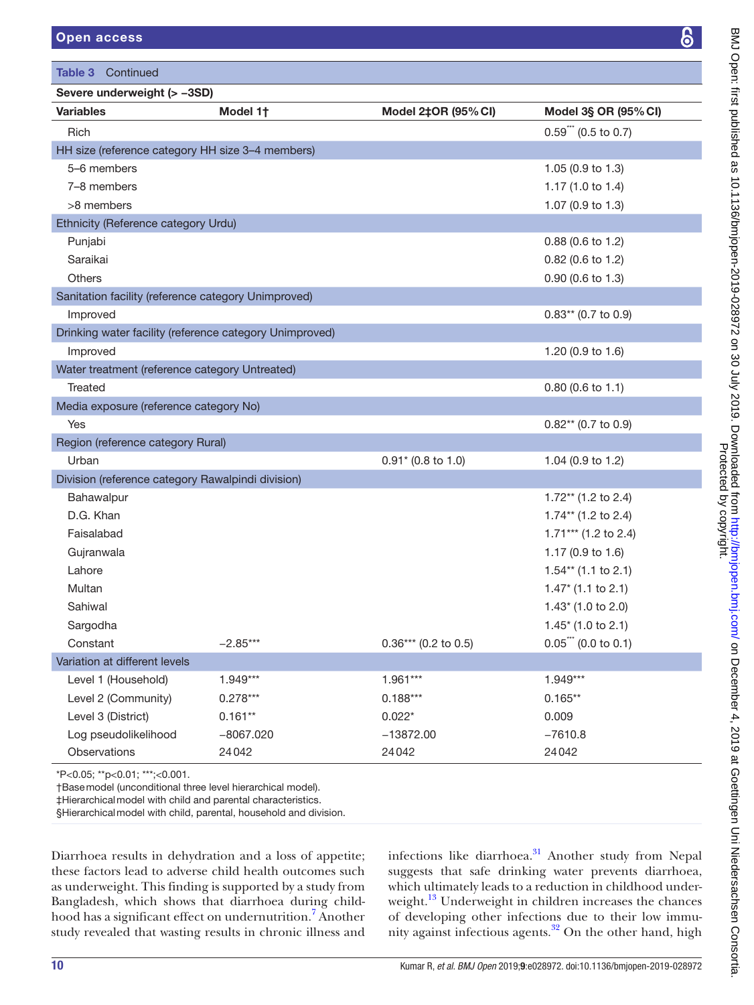| Severe underweight (> -3SD)                             |                      |                        |                                  |
|---------------------------------------------------------|----------------------|------------------------|----------------------------------|
| <b>Variables</b>                                        | Model 1 <sup>+</sup> | Model 2‡OR (95% CI)    | Model 3§ OR (95% CI)             |
| Rich                                                    |                      |                        | $0.59$ (0.5 to 0.7)              |
| HH size (reference category HH size 3-4 members)        |                      |                        |                                  |
| 5-6 members                                             |                      |                        | 1.05 (0.9 to 1.3)                |
| 7-8 members                                             |                      |                        | 1.17 (1.0 to 1.4)                |
| >8 members                                              |                      |                        | 1.07 (0.9 to 1.3)                |
| Ethnicity (Reference category Urdu)                     |                      |                        |                                  |
| Punjabi                                                 |                      |                        | 0.88 (0.6 to 1.2)                |
| Saraikai                                                |                      |                        | 0.82 (0.6 to 1.2)                |
| Others                                                  |                      |                        | 0.90 (0.6 to 1.3)                |
| Sanitation facility (reference category Unimproved)     |                      |                        |                                  |
| Improved                                                |                      |                        | $0.83**$ (0.7 to 0.9)            |
| Drinking water facility (reference category Unimproved) |                      |                        |                                  |
| Improved                                                |                      |                        | 1.20 (0.9 to 1.6)                |
| Water treatment (reference category Untreated)          |                      |                        |                                  |
| Treated                                                 |                      |                        | $0.80$ (0.6 to 1.1)              |
| Media exposure (reference category No)                  |                      |                        |                                  |
| Yes                                                     |                      |                        | $0.82**$ (0.7 to 0.9)            |
| Region (reference category Rural)                       |                      |                        |                                  |
| Urban                                                   |                      | $0.91*$ (0.8 to 1.0)   | 1.04 (0.9 to 1.2)                |
| Division (reference category Rawalpindi division)       |                      |                        |                                  |
| Bahawalpur                                              |                      |                        | $1.72**$ (1.2 to 2.4)            |
| D.G. Khan                                               |                      |                        | $1.74**$ (1.2 to 2.4)            |
| Faisalabad                                              |                      |                        | $1.71***$ (1.2 to 2.4)           |
| Gujranwala                                              |                      |                        | 1.17 (0.9 to 1.6)                |
| Lahore                                                  |                      |                        | $1.54**$ (1.1 to 2.1)            |
| Multan                                                  |                      |                        | $1.47*$ (1.1 to 2.1)             |
| Sahiwal                                                 |                      |                        | $1.43$ <sup>*</sup> (1.0 to 2.0) |
| Sargodha                                                |                      |                        | $1.45'$ (1.0 to 2.1)             |
| Constant                                                | $-2.85***$           | $0.36***$ (0.2 to 0.5) | $0.05$ (0.0 to 0.1)              |
| Variation at different levels                           |                      |                        |                                  |
| Level 1 (Household)                                     | 1.949***             | $1.961***$             | 1.949***                         |
| Level 2 (Community)                                     | $0.278***$           | $0.188***$             | $0.165**$                        |
| Level 3 (District)                                      | $0.161**$            | $0.022*$               | 0.009                            |
| Log pseudolikelihood                                    | $-8067.020$          | $-13872.00$            | $-7610.8$                        |
| Observations                                            | 24042                | 24042                  | 24042                            |

\*P<0.05; \*\*p<0.01; \*\*\*;<0.001.

†Basemodel (unconditional three level hierarchical model).

‡Hierarchicalmodel with child and parental characteristics.

§Hierarchicalmodel with child, parental, household and division.

Diarrhoea results in dehydration and a loss of appetite; these factors lead to adverse child health outcomes such as underweight. This finding is supported by a study from Bangladesh, which shows that diarrhoea during childhood has a significant effect on undernutrition.<sup>7</sup> Another study revealed that wasting results in chronic illness and

infections like diarrhoea.<sup>31</sup> Another study from Nepal suggests that safe drinking water prevents diarrhoea, which ultimately leads to a reduction in childhood underweight.<sup>13</sup> Underweight in children increases the chances of developing other infections due to their low immunity against infectious agents.<sup>32</sup> On the other hand, high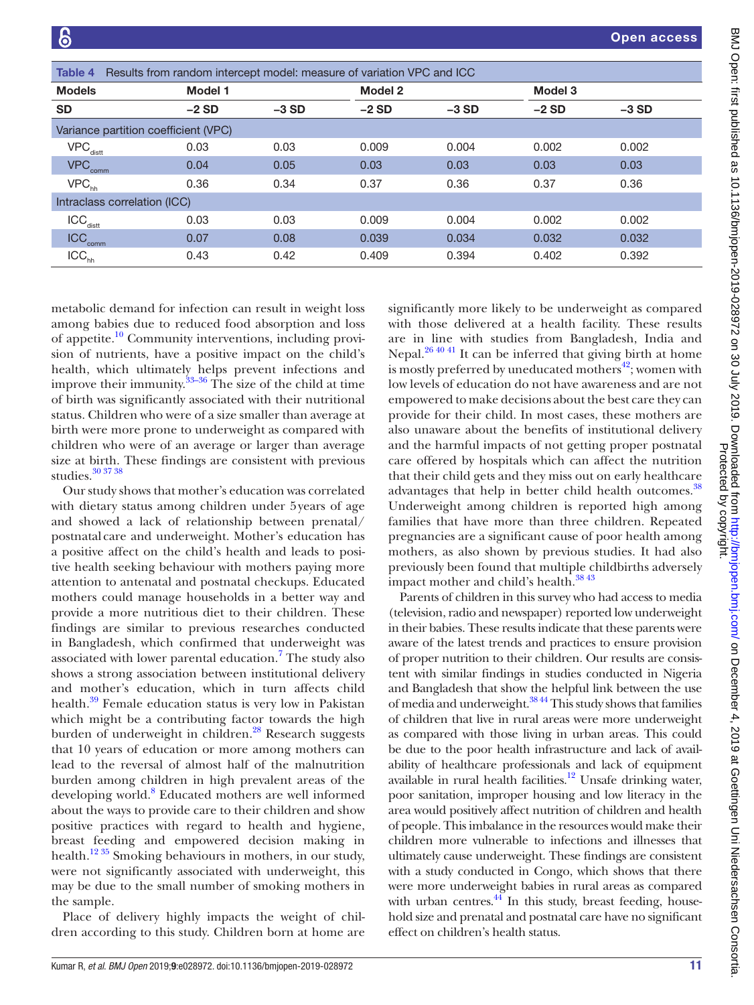<span id="page-10-0"></span>

| Results from random intercept model: measure of variation VPC and ICC<br>Table 4 |                                      |        |         |        |        |         |  |
|----------------------------------------------------------------------------------|--------------------------------------|--------|---------|--------|--------|---------|--|
| <b>Models</b>                                                                    | <b>Model 1</b>                       |        | Model 2 |        |        | Model 3 |  |
| <b>SD</b>                                                                        | $-2SD$                               | $-3SD$ | $-2SD$  | $-3SD$ | $-2SD$ | $-3$ SD |  |
|                                                                                  | Variance partition coefficient (VPC) |        |         |        |        |         |  |
| $VPC_{dist}$                                                                     | 0.03                                 | 0.03   | 0.009   | 0.004  | 0.002  | 0.002   |  |
| $VPC_{comm}$                                                                     | 0.04                                 | 0.05   | 0.03    | 0.03   | 0.03   | 0.03    |  |
| VPC <sub>hh</sub>                                                                | 0.36                                 | 0.34   | 0.37    | 0.36   | 0.37   | 0.36    |  |
| Intraclass correlation (ICC)                                                     |                                      |        |         |        |        |         |  |
| $ICC_{dist}$                                                                     | 0.03                                 | 0.03   | 0.009   | 0.004  | 0.002  | 0.002   |  |
| ICC.<br>comm                                                                     | 0.07                                 | 0.08   | 0.039   | 0.034  | 0.032  | 0.032   |  |
| ICC <sub>hr</sub>                                                                | 0.43                                 | 0.42   | 0.409   | 0.394  | 0.402  | 0.392   |  |

metabolic demand for infection can result in weight loss among babies due to reduced food absorption and loss of appetite.[10](#page-11-8) Community interventions, including provision of nutrients, have a positive impact on the child's health, which ultimately helps prevent infections and improve their immunity.<sup>33–36</sup> The size of the child at time of birth was significantly associated with their nutritional status. Children who were of a size smaller than average at birth were more prone to underweight as compared with children who were of an average or larger than average size at birth. These findings are consistent with previous studies.[30 37 38](#page-12-3)

Our study shows that mother's education was correlated with dietary status among children under 5years of age and showed a lack of relationship between prenatal/ postnatal care and underweight. Mother's education has a positive affect on the child's health and leads to positive health seeking behaviour with mothers paying more attention to antenatal and postnatal checkups. Educated mothers could manage households in a better way and provide a more nutritious diet to their children. These findings are similar to previous researches conducted in Bangladesh, which confirmed that underweight was associated with lower parental education.<sup>[7](#page-11-6)</sup> The study also shows a strong association between institutional delivery and mother's education, which in turn affects child health.<sup>39</sup> Female education status is very low in Pakistan which might be a contributing factor towards the high burden of underweight in children.<sup>[28](#page-11-17)</sup> Research suggests that 10 years of education or more among mothers can lead to the reversal of almost half of the malnutrition burden among children in high prevalent areas of the developing world.<sup>8</sup> Educated mothers are well informed about the ways to provide care to their children and show positive practices with regard to health and hygiene, breast feeding and empowered decision making in health.<sup>12 35</sup> Smoking behaviours in mothers, in our study, were not significantly associated with underweight, this may be due to the small number of smoking mothers in the sample.

Place of delivery highly impacts the weight of children according to this study. Children born at home are

significantly more likely to be underweight as compared with those delivered at a health facility. These results are in line with studies from Bangladesh, India and Nepal[.26 40 41](#page-11-20) It can be inferred that giving birth at home is mostly preferred by uneducated mothers<sup>[42](#page-12-5)</sup>; women with low levels of education do not have awareness and are not empowered to make decisions about the best care they can provide for their child. In most cases, these mothers are also unaware about the benefits of institutional delivery and the harmful impacts of not getting proper postnatal care offered by hospitals which can affect the nutrition that their child gets and they miss out on early healthcare advantages that help in better child health outcomes.<sup>[38](#page-12-6)</sup> Underweight among children is reported high among families that have more than three children. Repeated pregnancies are a significant cause of poor health among mothers, as also shown by previous studies. It had also previously been found that multiple childbirths adversely impact mother and child's health.<sup>[38 43](#page-12-6)</sup>

Parents of children in this survey who had access to media (television, radio and newspaper) reported low underweight in their babies. These results indicate that these parents were aware of the latest trends and practices to ensure provision of proper nutrition to their children. Our results are consistent with similar findings in studies conducted in Nigeria and Bangladesh that show the helpful link between the use of media and underweight.<sup>3844</sup> This study shows that families of children that live in rural areas were more underweight as compared with those living in urban areas. This could be due to the poor health infrastructure and lack of availability of healthcare professionals and lack of equipment available in rural health facilities. $12$  Unsafe drinking water, poor sanitation, improper housing and low literacy in the area would positively affect nutrition of children and health of people. This imbalance in the resources would make their children more vulnerable to infections and illnesses that ultimately cause underweight. These findings are consistent with a study conducted in Congo, which shows that there were more underweight babies in rural areas as compared with urban centres. $^{44}$  In this study, breast feeding, household size and prenatal and postnatal care have no significant effect on children's health status.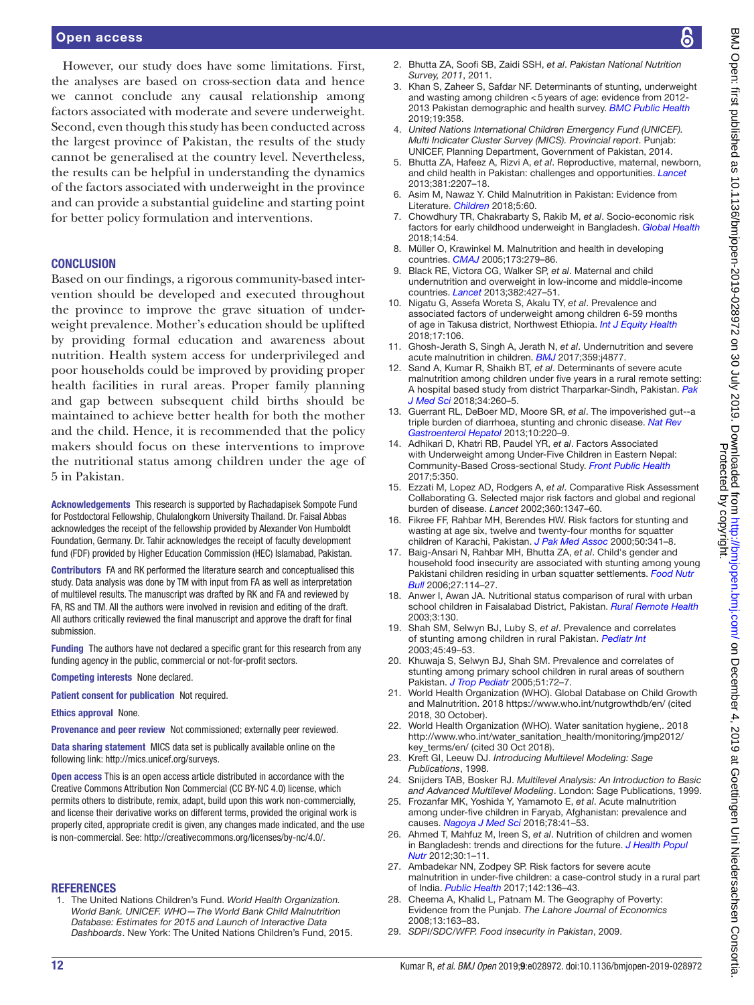### Open access

However, our study does have some limitations. First, the analyses are based on cross-section data and hence we cannot conclude any causal relationship among factors associated with moderate and severe underweight. Second, even though this study has been conducted across the largest province of Pakistan, the results of the study cannot be generalised at the country level. Nevertheless, the results can be helpful in understanding the dynamics of the factors associated with underweight in the province and can provide a substantial guideline and starting point for better policy formulation and interventions.

#### **CONCLUSION**

Based on our findings, a rigorous community-based intervention should be developed and executed throughout the province to improve the grave situation of underweight prevalence. Mother's education should be uplifted by providing formal education and awareness about nutrition. Health system access for underprivileged and poor households could be improved by providing proper health facilities in rural areas. Proper family planning and gap between subsequent child births should be maintained to achieve better health for both the mother and the child. Hence, it is recommended that the policy makers should focus on these interventions to improve the nutritional status among children under the age of 5 in Pakistan.

Acknowledgements This research is supported by Rachadapisek Sompote Fund for Postdoctoral Fellowship, Chulalongkorn University Thailand. Dr. Faisal Abbas acknowledges the receipt of the fellowship provided by Alexander Von Humboldt Foundation, Germany. Dr. Tahir acknowledges the receipt of faculty development fund (FDF) provided by Higher Education Commission (HEC) Islamabad, Pakistan.

Contributors FA and RK performed the literature search and conceptualised this study. Data analysis was done by TM with input from FA as well as interpretation of multilevel results. The manuscript was drafted by RK and FA and reviewed by FA, RS and TM. All the authors were involved in revision and editing of the draft. All authors critically reviewed the final manuscript and approve the draft for final submission.

Funding The authors have not declared a specific grant for this research from any funding agency in the public, commercial or not-for-profit sectors.

Competing interests None declared.

Patient consent for publication Not required.

Ethics approval None.

Provenance and peer review Not commissioned; externally peer reviewed.

Data sharing statement MICS data set is publically available online on the following link: [http://mics.unicef.org/surveys.](http://mics.unicef.org/surveys)

Open access This is an open access article distributed in accordance with the Creative Commons Attribution Non Commercial (CC BY-NC 4.0) license, which permits others to distribute, remix, adapt, build upon this work non-commercially, and license their derivative works on different terms, provided the original work is properly cited, appropriate credit is given, any changes made indicated, and the use is non-commercial. See: <http://creativecommons.org/licenses/by-nc/4.0/>.

#### **REFERENCES**

<span id="page-11-0"></span>1. The United Nations Children's Fund. *World Health Organization. World Bank. UNICEF. WHO—The World Bank Child Malnutrition Database: Estimates for 2015 and Launch of Interactive Data Dashboards*. New York: The United Nations Children's Fund, 2015.

- <span id="page-11-1"></span>2. Bhutta ZA, Soofi SB, Zaidi SSH, *et al*. *Pakistan National Nutrition Survey, 2011*, 2011.
- <span id="page-11-2"></span>Khan S, Zaheer S, Safdar NF. Determinants of stunting, underweight and wasting among children <5years of age: evidence from 2012- 2013 Pakistan demographic and health survey. *[BMC Public Health](http://dx.doi.org/10.1186/s12889-019-6688-2)* 2019;19:358.
- <span id="page-11-3"></span>4. *United Nations International Children Emergency Fund (UNICEF). Multi Indicater Cluster Survey (MICS). Provincial report*. Punjab: UNICEF, Planning Department, Government of Pakistan, 2014.
- <span id="page-11-4"></span>5. Bhutta ZA, Hafeez A, Rizvi A, *et al*. Reproductive, maternal, newborn, and child health in Pakistan: challenges and opportunities. *[Lancet](http://dx.doi.org/10.1016/S0140-6736(12)61999-0)* 2013;381:2207–18.
- <span id="page-11-5"></span>6. Asim M, Nawaz Y. Child Malnutrition in Pakistan: Evidence from Literature. *[Children](http://dx.doi.org/10.3390/children5050060)* 2018;5:60.
- <span id="page-11-6"></span>7. Chowdhury TR, Chakrabarty S, Rakib M, *et al*. Socio-economic risk factors for early childhood underweight in Bangladesh. *[Global Health](http://dx.doi.org/10.1186/s12992-018-0372-7)* 2018;14:54.
- <span id="page-11-18"></span>8. Müller O, Krawinkel M. Malnutrition and health in developing countries. *[CMAJ](http://dx.doi.org/10.1503/cmaj.050342)* 2005;173:279–86.
- <span id="page-11-7"></span>9. Black RE, Victora CG, Walker SP, *et al*. Maternal and child undernutrition and overweight in low-income and middle-income countries. *[Lancet](http://dx.doi.org/10.1016/S0140-6736(13)60937-X)* 2013;382:427–51.
- <span id="page-11-8"></span>10. Nigatu G, Assefa Woreta S, Akalu TY, *et al*. Prevalence and associated factors of underweight among children 6-59 months of age in Takusa district, Northwest Ethiopia. *[Int J Equity Health](http://dx.doi.org/10.1186/s12939-018-0816-y)* 2018;17:106.
- 11. Ghosh-Jerath S, Singh A, Jerath N, *et al*. Undernutrition and severe acute malnutrition in children. *[BMJ](http://dx.doi.org/10.1136/bmj.j4877)* 2017;359:j4877.
- <span id="page-11-19"></span>12. Sand A, Kumar R, Shaikh BT, *et al*. Determinants of severe acute malnutrition among children under five years in a rural remote setting: A hospital based study from district Tharparkar-Sindh, Pakistan. *[Pak](http://dx.doi.org/10.12669/pjms.342.14977)  [J Med Sci](http://dx.doi.org/10.12669/pjms.342.14977)* 2018;34:260–5.
- <span id="page-11-16"></span>13. Guerrant RL, DeBoer MD, Moore SR, *et al*. The impoverished gut--a triple burden of diarrhoea, stunting and chronic disease. *[Nat Rev](http://dx.doi.org/10.1038/nrgastro.2012.239)  [Gastroenterol Hepatol](http://dx.doi.org/10.1038/nrgastro.2012.239)* 2013;10:220–9.
- <span id="page-11-9"></span>14. Adhikari D, Khatri RB, Paudel YR, *et al*. Factors Associated with Underweight among Under-Five Children in Eastern Nepal: Community-Based Cross-sectional Study. *[Front Public Health](http://dx.doi.org/10.3389/fpubh.2017.00350)* 2017;5:350.
- 15. Ezzati M, Lopez AD, Rodgers A, *et al*. Comparative Risk Assessment Collaborating G. Selected major risk factors and global and regional burden of disease. *Lancet* 2002;360:1347–60.
- <span id="page-11-10"></span>16. Fikree FF, Rahbar MH, Berendes HW. Risk factors for stunting and wasting at age six, twelve and twenty-four months for squatter children of Karachi, Pakistan. *[J Pak Med Assoc](http://www.ncbi.nlm.nih.gov/pubmed/11109754)* 2000;50:341–8.
- 17. Baig-Ansari N, Rahbar MH, Bhutta ZA, *et al*. Child's gender and household food insecurity are associated with stunting among young Pakistani children residing in urban squatter settlements. *[Food Nutr](http://dx.doi.org/10.1177/156482650602700203)  [Bull](http://dx.doi.org/10.1177/156482650602700203)* 2006;27:114–27.
- <span id="page-11-11"></span>18. Anwer I, Awan JA. Nutritional status comparison of rural with urban school children in Faisalabad District, Pakistan. *[Rural Remote Health](http://www.ncbi.nlm.nih.gov/pubmed/15877486)* 2003;3:130.
- <span id="page-11-12"></span>19. Shah SM, Selwyn BJ, Luby S, *et al*. Prevalence and correlates of stunting among children in rural Pakistan. *[Pediatr Int](http://www.ncbi.nlm.nih.gov/pubmed/12654069)* 2003;45:49–53.
- 20. Khuwaja S, Selwyn BJ, Shah SM. Prevalence and correlates of stunting among primary school children in rural areas of southern Pakistan. *[J Trop Pediatr](http://dx.doi.org/10.1093/tropej/fmh067)* 2005;51:72–7.
- <span id="page-11-13"></span>21. World Health Organization (WHO). Global Database on Child Growth and Malnutrition. 2018 <https://www.who.int/nutgrowthdb/en/>(cited 2018, 30 October).
- <span id="page-11-14"></span>22. World Health Organization (WHO). Water sanitation hygiene,. 2018 [http://www.who.int/water\\_sanitation\\_health/monitoring/jmp2012/](http://www.who.int/water_sanitation_health/monitoring/jmp2012/key_terms/en/) [key\\_terms/en/](http://www.who.int/water_sanitation_health/monitoring/jmp2012/key_terms/en/) (cited 30 Oct 2018).
- <span id="page-11-15"></span>23. Kreft GI, Leeuw DJ. *Introducing Multilevel Modeling: Sage Publications*, 1998.
- 24. Snijders TAB, Bosker RJ. *Multilevel Analysis: An Introduction to Basic and Advanced Multilevel Modeling*. London: Sage Publications, 1999.
- 25. Frozanfar MK, Yoshida Y, Yamamoto E, *et al*. Acute malnutrition among under-five children in Faryab, Afghanistan: prevalence and causes. *[Nagoya J Med Sci](http://www.ncbi.nlm.nih.gov/pubmed/27019527)* 2016;78:41–53.
- <span id="page-11-20"></span>26. Ahmed T, Mahfuz M, Ireen S, *et al*. Nutrition of children and women in Bangladesh: trends and directions for the future. *[J Health Popul](http://dx.doi.org/10.3329/jhpn.v30i1.11268)  [Nutr](http://dx.doi.org/10.3329/jhpn.v30i1.11268)* 2012;30:1–11.
- 27. Ambadekar NN, Zodpey SP. Risk factors for severe acute malnutrition in under-five children: a case-control study in a rural part of India. *[Public Health](http://dx.doi.org/10.1016/j.puhe.2016.07.018)* 2017;142:136–43.
- <span id="page-11-17"></span>28. Cheema A, Khalid L, Patnam M. The Geography of Poverty: Evidence from the Punjab. *The Lahore Journal of Economics* 2008;13:163–83.
- 29. *SDPI/SDC/WFP. Food insecurity in Pakistan*, 2009.